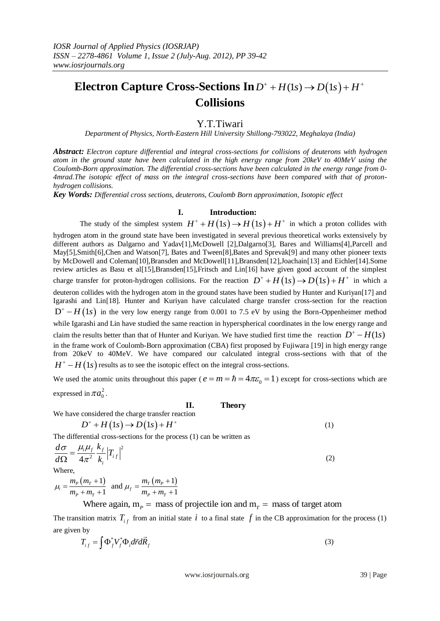## **Electron Capture Cross-Sections In**  $D^+ + H(1s) \rightarrow D(1s) + H^+$ **Collisions**

## Y.T.Tiwari

*Department of Physics, North-Eastern Hill University Shillong-793022, Meghalaya (India)*

*Abstract: Electron capture differential and integral cross-sections for collisions of deuterons with hydrogen atom in the ground state have been calculated in the high energy range from 20keV to 40MeV using the Coulomb-Born approximation. The differential cross-sections have been calculated in the energy range from 0- 4mrad.The isotopic effect of mass on the integral cross-sections have been compared with that of protonhydrogen collisions.*

*Key Words: Differential cross sections, deuterons, Coulomb Born approximation, Isotopic effect*

## **I. Introduction:**

**The study of the simplest system**  $H^+ + H(1s) \rightarrow H(1s) + H^+$  **in which a proton collides with** hydrogen atom in the ground state have been investigated in several previous theoretical works extensively by different authors as Dalgarno and Yadav[1],McDowell [2],Dalgarno[3], Bares and Williams[4],Parcell and May[5],Smith[6],Chen and Watson[7], Bates and Tween[8],Bates and Sprevak[9] and many other pioneer texts by McDowell and Coleman[10],Bransden and McDowell[11],Bransden[12],Joachain[13] and Eichler[14].Some review articles as Basu et al[15],Bransden[15],Fritsch and Lin[16] have given good account of the simplest review articles as Basu et all 15], Bransden[15], Fritsch and Lin[16] have given good account of the simplest charge transfer for proton-hydrogen collisions. For the reaction  $D^+ + H(1s) \rightarrow D(1s) + H^+$  in which a deuteron collides with the hydrogen atom in the ground states have been studied by Hunter and Kuriyan[17] and Igarashi and Lin[18]. Hunter and Kuriyan have calculated charge transfer cross-section for the reaction  $D^+ - H(1s)$  in the very low energy range from 0.001 to 7.5 eV by using the Born-Oppenheimer method while Igarashi and Lin have studied the same reaction in hyperspherical coordinates in the low energy range and claim the results better than that of Hunter and Kuriyan. We have studied first time the reaction  $D^+ - H(1s)$ in the frame work of Coulomb-Born approximation (CBA) first proposed by Fujiwara [19] in high energy range from 20keV to 40MeV. We have compared our calculated integral cross-sections with that of the  $H^+ - H(1s)$  results as to see the isotopic effect on the integral cross-sections.

We used the atomic units throughout this paper ( $e = m = \hbar = 4\pi\varepsilon_0 = 1$ ) except for cross-sections which are expressed in  $\pi a_0^2$ .

**II. Theory**

We have considered the charge transfer reaction  
\n
$$
D^+ + H(1s) \rightarrow D(1s) + H^+
$$
\n(1)

The differential cross-sections for the process (1) can be written as

$$
\frac{d\sigma}{d\Omega} = \frac{\mu_i \mu_f}{4\pi^2} \frac{k_f}{k_i} \left| T_{if} \right|^2 \tag{2}
$$

**Where** 

There,<br>  $\mu_i = \frac{m_p (m_r + 1)}{m_p + m_r + 1}$  and  $\mu_f = \frac{m_r (m_p + 1)}{m_p + m_r + 1}$  $\frac{1}{p + m_T + 1}$  and  $\mu_f - \frac{1}{m_p + m_T}$ e,<br> $\frac{m_p(m_T+1)}{m_p(m_T+1)}$  and  $\mu = \frac{m_T(m_T)}{m_T(m_T+1)}$  $\frac{m_p (m_r + 1)}{m_p + m_r + 1}$  and  $\mu_f = \frac{m_r (m_p)}{m_p + m_s}$ Where,<br>  $\mu_i = \frac{m_p (m_T + 1)}{m_r + m_r + 1}$  and  $\mu_f = \frac{m_T (m_P + 1)}{m_r + m_r + 1}$  $\frac{(m_r+1)}{m_r+1}$  and  $\mu_f = \frac{m_r(m_p+1)}{m_p+m_r+1}$  $\frac{m_r+1}{m_r+1}$  and  $\mu_f = \frac{m_r(m_p+1)}{m_p+m_r+1}$ <br>Where again,  $m_p =$  mass of projectile ion and  $m_r$ 

Where again,  $m_p =$  mass of projectile ion and  $m_r =$  mass of target atom

The transition matrix  $T_{if}$  from an initial state i to a final state f in the CB approximation for the process (1) are given by

$$
T_{if} = \int \Phi_f^* V_f^* \Phi_i d\vec{r} d\vec{R}_f
$$
 (3)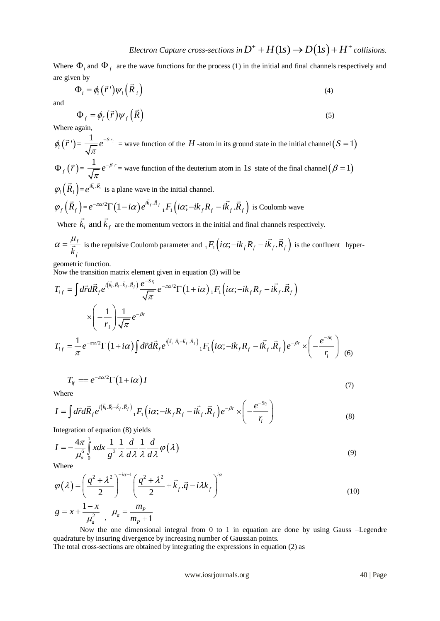Where  $\Phi_i$  and  $\Phi_f$  are the wave functions for the process (1) in the initial and final channels respectively and are given by

$$
\Phi_i = \phi_i(\vec{r}) \psi_i(\vec{R}_i)
$$
\n(4)

and

$$
\Phi_f = \phi_f(\vec{r}) \psi_f(\vec{R}) \tag{5}
$$

Where again,

 $\phi_i(\vec{r}\,') = \frac{1}{\sqrt{\pi}}e^{-S r_i}$  $S^{r_i}$  = wave function of the  $H$  -atom in its ground state in the initial channel  $(S = 1)$ 

 $\Phi_f(\vec{r}) = \frac{1}{\sqrt{r}} e^{-\beta r}$ π  $e^{-\beta r}$  = wave function of the deuterium atom in 1*s* state of the final channel  $(\beta = 1)$  $\varphi_i(R_i)$  $\overline{a}$  $=e^{i\vec{k}_i \cdot \vec{R}_i}$ 

$$
\varphi_i(R_i) = e^{ik_i \cdot R_i}
$$
 is a plane wave in the initial channel.  

$$
\varphi_f(\vec{R}_f) = e^{-\pi \alpha/2} \Gamma(1 - i\alpha) e^{i\vec{k}_f \cdot \vec{R}_f} {}_1F_1\left(i\alpha; -ik_f R_f - i\vec{k}_f \cdot \vec{R}_f\right)
$$
 is Coulomb wave

Where  $k_i$  and  $k_f$ are the momentum vectors in the initial and final channels respectively.

$$
\alpha = \frac{\mu_f}{\vec{k}_f}
$$
 is the repulsive Coulomb parameter and  ${}_{1}F_{1}(i\alpha; -ik_{f}R_{f} - i\vec{k}_{f} \cdot \vec{R}_{f})$  is the confluent hyper-

geometric function.

geometric function.  
\nNow the transition matrix element given in equation (3) will be  
\n
$$
T_{if} = \int d\vec{r} d\vec{R}_f e^{i(\vec{k}_i \cdot \vec{R}_i - \vec{k}_f \cdot \vec{R}_f)} \frac{e^{-S r_i}}{\sqrt{\pi}} e^{-\pi \alpha/2} \Gamma(1 + i\alpha) {}_{1}F_{1}(i\alpha; -ik_{f}R_{f} - i\vec{k}_{f} \cdot \vec{R}_{f})
$$
\n
$$
\times \left( -\frac{1}{r_i} \right) \frac{1}{\sqrt{\pi}} e^{-\beta r}
$$
\n
$$
T_{if} = \frac{1}{\pi} e^{-\pi \alpha/2} \Gamma(1 + i\alpha) \int d\vec{r} d\vec{R}_f e^{i(\vec{k}_i \cdot \vec{R}_i - \vec{k}_{f} \cdot \vec{R}_{f})} {}_{1}F_{1}(i\alpha; -ik_{f}R_{f} - i\vec{k}_{f} \cdot \vec{R}_{f}) e^{-\beta r} \times \left( -\frac{e^{-S r_i}}{r_i} \right) (6)
$$

$$
T_{if} = e^{-\pi \alpha/2} \Gamma(1 + i\alpha) I
$$
  
Where  

$$
I = \int d\vec{r} d\vec{R}_e e^{i(\vec{k}_i \cdot \vec{R}_i - \vec{k}_f \cdot \vec{R}_f)} \cdot F_1(i\alpha; -ik_e R_e - i\vec{k}_e \cdot \vec{R}_e) e^{-\beta r} \times \left(-\frac{e^{-S_i}}{\alpha}\right)
$$

Where

Where  
\n
$$
I = \int d\vec{r} d\vec{R}_f e^{i(\vec{k}_i \cdot \vec{R}_i - \vec{k}_f \cdot \vec{R}_f)} {}_1F_1\left(i\alpha; -ik_f R_f - i\vec{k}_f \cdot \vec{R}_f\right) e^{-\beta r} \times \left(-\frac{e^{-Sr_i}}{r_i}\right)
$$
\n
$$
\text{Integrating of equation (8) yields } \tag{8}
$$

Integration of equation (8) yields  
\n
$$
I = -\frac{4\pi}{\mu_a^6} \int_a^1 x dx \frac{1}{g^3} \frac{1}{\lambda} \frac{d}{d\lambda} \frac{1}{\lambda} \frac{d}{d\lambda} \frac{1}{\lambda} \frac{d}{d\lambda} \varphi(\lambda)
$$
\n(9)

Where

Where  
\n
$$
\varphi(\lambda) = \left(\frac{q^2 + \lambda^2}{2}\right)^{-i\alpha - 1} \left(\frac{q^2 + \lambda^2}{2} + \vec{k}_f \cdot \vec{q} - i\lambda k_f\right)^{i\alpha}
$$
\n
$$
g = x + \frac{1 - x}{\mu_a^2}, \quad \mu_a = \frac{m_p}{m_p + 1}
$$
\n(10)

Now the one dimensional integral from 0 to 1 in equation are done by using Gauss –Legendre quadrature by insuring divergence by increasing number of Gaussian points.

The total cross-sections are obtained by integrating the expressions in equation (2) as

www.iosrjournals.org 40 | Page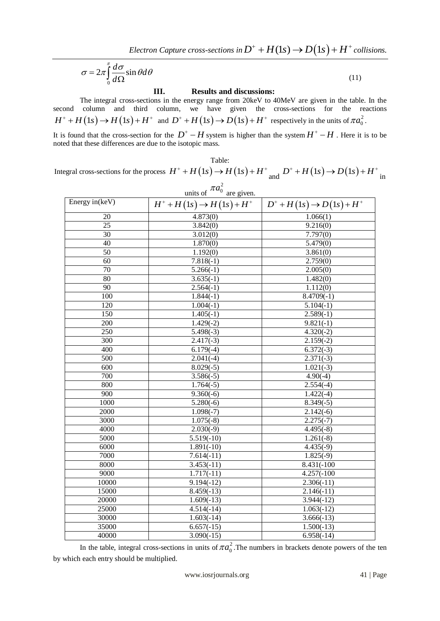$Electron~Capture~cross-sections~in D^{+} + H(1s) \rightarrow D\big(1s\big) + H^{+}~collisions.$ 

$$
\sigma = 2\pi \int_{0}^{\pi} \frac{d\sigma}{d\Omega} \sin \theta d\theta \tag{11}
$$

**III. Results and discussions:**

The integral cross-sections in the energy range from 20keV to 40MeV are given in the table. In the second column and third column, we have given the cross-sections for the reactions  $H^+ + H(1s) \rightarrow H(1s) + H^+$  and  $D^+ + H(1s) \rightarrow D(1s) + H^+$  respectively in the units of  $\pi a_0^2$ .

It is found that the cross-section for the  $D^+$  – H system is higher than the system  $H^+$  – H. Here it is to be noted that these differences are due to the isotopic mass.

Table:

I able:<br>Integral cross-sections for the process  $H^+ + H(1s) \to H(1s) + H^+$  and  $D^+ + H(1s) \to D(1s) + H^+$  in

| units of $\pi a_0^2$ are given. |                                       |                               |
|---------------------------------|---------------------------------------|-------------------------------|
| Energy in (keV)                 | $H^+ + H(1s) \rightarrow H(1s) + H^+$ | $D^+ + H(1s) \to D(1s) + H^+$ |
| 20                              | 4.873(0)                              | 1.066(1)                      |
| $\overline{25}$                 | 3.842(0)                              | 9.216(0)                      |
| $\overline{30}$                 | 3.012(0)                              | 7.797(0)                      |
| $\overline{40}$                 | 1.870(0)                              | 5.479(0)                      |
| $\overline{50}$                 | 1.192(0)                              | 3.861(0)                      |
| 60                              | $7.818(-1)$                           | 2.759(0)                      |
| 70                              | $5.266(-1)$                           | 2.005(0)                      |
| $\overline{80}$                 | $3.635(-1)$                           | 1.482(0)                      |
| 90                              | $2.564(-1)$                           | 1.112(0)                      |
| $\overline{100}$                | $1.844(-1)$                           | $8.4709(-1)$                  |
| 120                             | $1.004(-1)$                           | $5.104(-1)$                   |
| 150                             | $1.405(-1)$                           | $2.589(-1)$                   |
| 200                             | $1.429(-2)$                           | $9.821(-1)$                   |
| 250                             | $5.498(-3)$                           | $4.320(-2)$                   |
| $\overline{300}$                | $2.417(-3)$                           | $2.159(-2)$                   |
| 400                             | $6.179(-4)$                           | $6.372(-3)$                   |
| 500                             | $2.041(-4)$                           | $2.371(-3)$                   |
| $\overline{600}$                | $8.029(-5)$                           | $1.021(-3)$                   |
| 700                             | $3.586(-5)$                           | $4.90(-4)$                    |
| 800                             | $1.764(-5)$                           | $2.554(-4)$                   |
| 900                             | $9.360(-6)$                           | $1.422(-4)$                   |
| 1000                            | $5.280(-6)$                           | $8.349(-5)$                   |
| 2000                            | $1.098(-7)$                           | $2.142(-6)$                   |
| 3000                            | $1.075(-8)$                           | $2.275(-7)$                   |
| 4000                            | $2.030(-9)$                           | $4.495(-8)$                   |
| 5000                            | $5.519(-10)$                          | $1.261(-8)$                   |
| 6000                            | $1.891(-10)$                          | $4.435(-9)$                   |
| 7000                            | $7.614(-11)$                          | $1.825(-9)$                   |
| 8000                            | $3.453(-11)$                          | 8.431(-100                    |
| 9000                            | $1.717(-11)$                          | $4.257(-100)$                 |
| 10000                           | $9.194(-12)$                          | $2.306(-11)$                  |
| 15000                           | $8.459(-13)$                          | $2.146(-11)$                  |
| 20000                           | $1.609(-13)$                          | $3.944(-12)$                  |
| 25000                           | $4.514(-14)$                          | $1.063(-12)$                  |
| 30000                           | $1.603(-14)$                          | $3.666(-13)$                  |
| 35000                           | $6.657(-15)$                          | $1.500(-13)$                  |
| 40000                           | $3.090(-15)$                          | $6.958(-14)$                  |

In the table, integral cross-sections in units of  $\pi a_0^2$ . The numbers in brackets denote powers of the ten by which each entry should be multiplied.